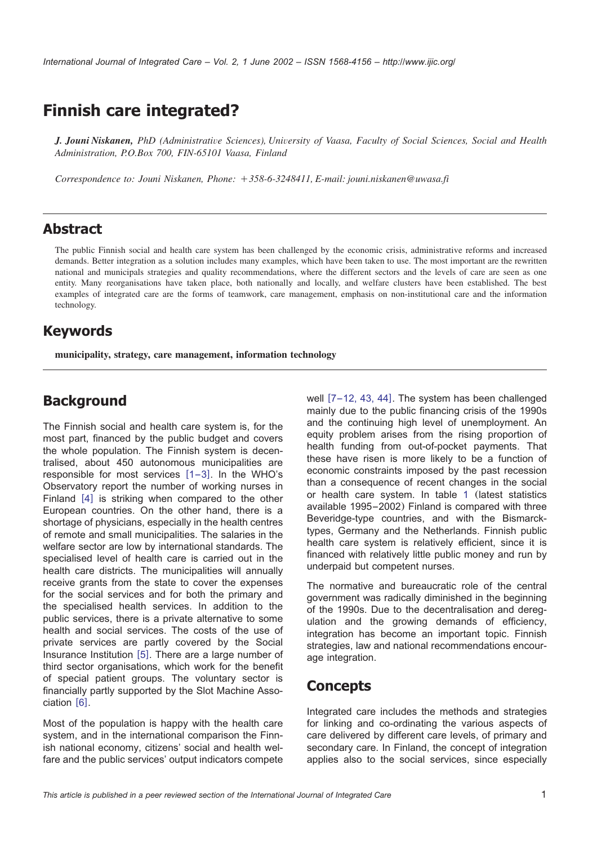# **Finnish care integrated?**

*J. Jouni Niskanen, PhD (Administrative Sciences), University of Vaasa, Faculty of Social Sciences, Social and Health Administration, P.O.Box 700, FIN-65101 Vaasa, Finland*

*Correspondence to: Jouni Niskanen, Phone:* q*358-6-3248411, E-mail: jouni.niskanen@uwasa.fi*

### **Abstract**

The public Finnish social and health care system has been challenged by the economic crisis, administrative reforms and increased demands. Better integration as a solution includes many examples, which have been taken to use. The most important are the rewritten national and municipals strategies and quality recommendations, where the different sectors and the levels of care are seen as one entity. Many reorganisations have taken place, both nationally and locally, and welfare clusters have been established. The best examples of integrated care are the forms of teamwork, care management, emphasis on non-institutional care and the information technology.

### **Keywords**

**municipality, strategy, care management, information technology**

### **Background**

The Finnish social and health care system is, for the most part, financed by the public budget and covers the whole population. The Finnish system is decentralised, about 450 autonomous municipalities are responsible for most services  $[1-3]$  $[1-3]$  $[1-3]$ . In the WHO's Observatory report the number of working nurses in Finland  $[4]$  $[4]$  $[4]$  is striking when compared to the other European countries. On the other hand, there is a shortage of physicians, especially in the health centres of remote and small municipalities. The salaries in the welfare sector are low by international standards. The specialised level of health care is carried out in the health care districts. The municipalities will annually receive grants from the state to cover the expenses for the social services and for both the primary and the specialised health services. In addition to the public services, there is a private alternative to some health and social services. The costs of the use of private services are partly covered by the Social Insurance Institution  $[5]$  $[5]$  $[5]$ . There are a large number of third sector organisations, which work for the benefit of special patient groups. The voluntary sector is financially partly supported by the Slot Machine Asso- $ciation [6]$  $ciation [6]$  $ciation [6]$ .

Most of the population is happy with the health care system, and in the international comparison the Finnish national economy, citizens' social and health welfare and the public services' output indicators compete

well  $[7-12, 43, 44]$  $[7-12, 43, 44]$  $[7-12, 43, 44]$ . The system has been challenged mainly due to the public financing crisis of the 1990s and the continuing high level of unemployment. An equity problem arises from the rising proportion of health funding from out-of-pocket payments. That these have risen is more likely to be a function of economic constraints imposed by the past recession than a consequence of recent changes in the social or health care system. In table 1 (latest statistics available 1995–2002) Finland is compared with three Beveridge-type countries, and with the Bismarcktypes, Germany and the Netherlands. Finnish public health care system is relatively efficient, since it is financed with relatively little public money and run by underpaid but competent nurses.

The normative and bureaucratic role of the central government was radically diminished in the beginning of the 1990s. Due to the decentralisation and deregulation and the growing demands of efficiency, integration has become an important topic. Finnish strategies, law and national recommendations encourage integration.

### **Concepts**

Integrated care includes the methods and strategies for linking and co-ordinating the various aspects of care delivered by different care levels, of primary and secondary care. In Finland, the concept of integration applies also to the social services, since especially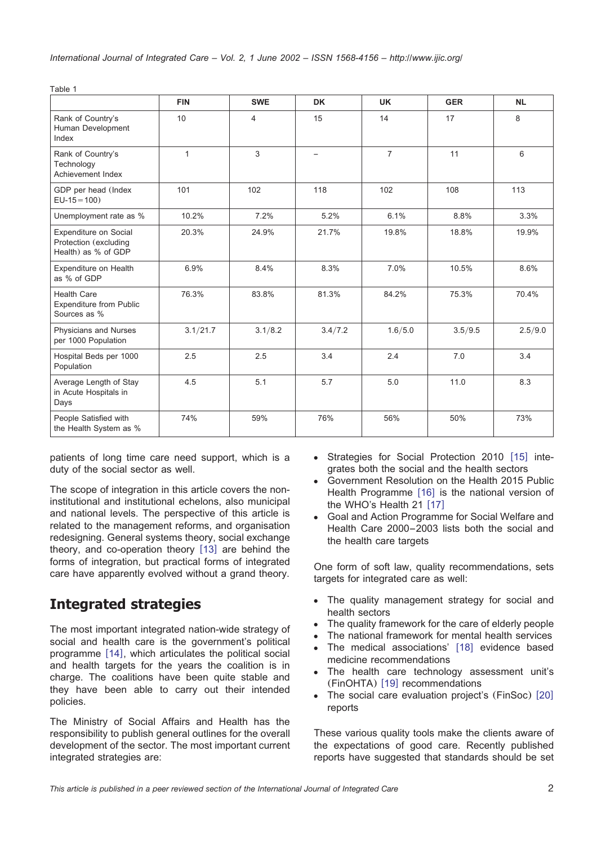|                                                                       | <b>FIN</b>   | <b>SWE</b> | <b>DK</b> | <b>UK</b>      | <b>GER</b> | <b>NL</b> |
|-----------------------------------------------------------------------|--------------|------------|-----------|----------------|------------|-----------|
| Rank of Country's<br>Human Development<br>Index                       | 10           | 4          | 15        | 14             | 17         | 8         |
| Rank of Country's<br>Technology<br>Achievement Index                  | $\mathbf{1}$ | 3          |           | $\overline{7}$ | 11         | 6         |
| GDP per head (Index<br>$EU-15 = 100$                                  | 101          | 102        | 118       | 102            | 108        | 113       |
| Unemployment rate as %                                                | 10.2%        | 7.2%       | 5.2%      | 6.1%           | 8.8%       | 3.3%      |
| Expenditure on Social<br>Protection (excluding<br>Health) as % of GDP | 20.3%        | 24.9%      | 21.7%     | 19.8%          | 18.8%      | 19.9%     |
| Expenditure on Health<br>as % of GDP                                  | 6.9%         | 8.4%       | 8.3%      | 7.0%           | 10.5%      | 8.6%      |
| <b>Health Care</b><br><b>Expenditure from Public</b><br>Sources as %  | 76.3%        | 83.8%      | 81.3%     | 84.2%          | 75.3%      | 70.4%     |
| Physicians and Nurses<br>per 1000 Population                          | 3.1/21.7     | 3.1/8.2    | 3.4/7.2   | 1.6/5.0        | 3.5/9.5    | 2.5/9.0   |
| Hospital Beds per 1000<br>Population                                  | 2.5          | 2.5        | 3.4       | 2.4            | 7.0        | 3.4       |
| Average Length of Stay<br>in Acute Hospitals in<br>Days               | 4.5          | 5.1        | 5.7       | 5.0            | 11.0       | 8.3       |
| People Satisfied with<br>the Health System as %                       | 74%          | 59%        | 76%       | 56%            | 50%        | 73%       |

patients of long time care need support, which is a duty of the social sector as well.

The scope of integration in this article covers the noninstitutional and institutional echelons, also municipal and national levels. The perspective of this article is related to the management reforms, and organisation redesigning. General systems theory, social exchange theory, and co-operation theory  $[13]$  $[13]$  $[13]$  are behind the forms of integration, but practical forms of integrated care have apparently evolved without a grand theory.

# **Integrated strategies**

Table 1

The most important integrated nation-wide strategy of social and health care is the government's political programme  $[14]$  $[14]$  $[14]$ , which articulates the political social and health targets for the years the coalition is in charge. The coalitions have been quite stable and they have been able to carry out their intended policies.

The Ministry of Social Affairs and Health has the responsibility to publish general outlines for the overall development of the sector. The most important current integrated strategies are:

- Strategies for Social Protection 2010 [[15](#page-8-0)] integrates both the social and the health sectors
- Government Resolution on the Health 2015 Public Health Programme  $[16]$  $[16]$  $[16]$  is the national version of the WHO's Health  $21$  [[17](#page-8-0)]
- Goal and Action Programme for Social Welfare and Health Care 2000–2003 lists both the social and the health care targets

One form of soft law, quality recommendations, sets targets for integrated care as well:

- The quality management strategy for social and health sectors
- The quality framework for the care of elderly people
- The national framework for mental health services
- The medical associations' [[18](#page-8-0)] evidence based medicine recommendations
- The health care technology assessment unit's (FinOHTA) [[19](#page-8-0)] recommendations
- The social care evaluation project's (FinSoc) [[20](#page-8-0)] reports

These various quality tools make the clients aware of the expectations of good care. Recently published reports have suggested that standards should be set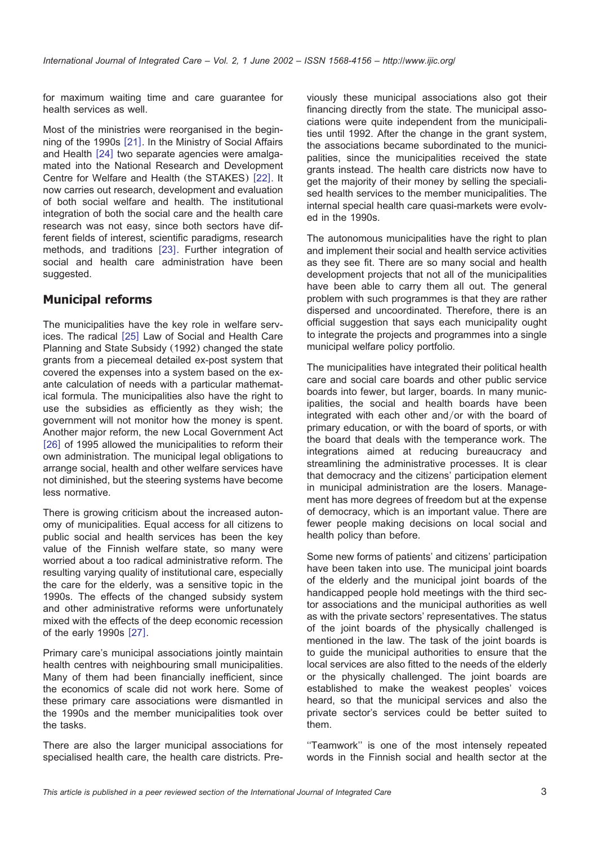for maximum waiting time and care guarantee for health services as well.

Most of the ministries were reorganised in the begin-ning of the 1990s [[21](#page-8-0)]. In the Ministry of Social Affairs and Health [[24](#page-8-0)] two separate agencies were amalgamated into the National Research and Development Centre for Welfare and Health (the STAKES) [[22](#page-8-0)]. It now carries out research, development and evaluation of both social welfare and health. The institutional integration of both the social care and the health care research was not easy, since both sectors have different fields of interest, scientific paradigms, research methods, and traditions [[23](#page-8-0)]. Further integration of social and health care administration have been suggested.

#### **Municipal reforms**

The municipalities have the key role in welfare serv-ices. The radical [[25](#page-8-0)] Law of Social and Health Care Planning and State Subsidy (1992) changed the state grants from a piecemeal detailed ex-post system that covered the expenses into a system based on the exante calculation of needs with a particular mathematical formula. The municipalities also have the right to use the subsidies as efficiently as they wish; the government will not monitor how the money is spent. Another major reform, the new Local Government Act [[26](#page-8-0)] of 1995 allowed the municipalities to reform their own administration. The municipal legal obligations to arrange social, health and other welfare services have not diminished, but the steering systems have become less normative.

There is growing criticism about the increased autonomy of municipalities. Equal access for all citizens to public social and health services has been the key value of the Finnish welfare state, so many were worried about a too radical administrative reform. The resulting varying quality of institutional care, especially the care for the elderly, was a sensitive topic in the 1990s. The effects of the changed subsidy system and other administrative reforms were unfortunately mixed with the effects of the deep economic recession of the early  $1990s$   $[27]$  $[27]$  $[27]$ .

Primary care's municipal associations jointly maintain health centres with neighbouring small municipalities. Many of them had been financially inefficient, since the economics of scale did not work here. Some of these primary care associations were dismantled in the 1990s and the member municipalities took over the tasks.

There are also the larger municipal associations for specialised health care, the health care districts. Previously these municipal associations also got their financing directly from the state. The municipal associations were quite independent from the municipalities until 1992. After the change in the grant system, the associations became subordinated to the municipalities, since the municipalities received the state grants instead. The health care districts now have to get the majority of their money by selling the specialised health services to the member municipalities. The internal special health care quasi-markets were evolved in the 1990s.

The autonomous municipalities have the right to plan and implement their social and health service activities as they see fit. There are so many social and health development projects that not all of the municipalities have been able to carry them all out. The general problem with such programmes is that they are rather dispersed and uncoordinated. Therefore, there is an official suggestion that says each municipality ought to integrate the projects and programmes into a single municipal welfare policy portfolio*.*

The municipalities have integrated their political health care and social care boards and other public service boards into fewer, but larger, boards. In many municipalities, the social and health boards have been integrated with each other and/or with the board of primary education, or with the board of sports, or with the board that deals with the temperance work. The integrations aimed at reducing bureaucracy and streamlining the administrative processes. It is clear that democracy and the citizens' participation element in municipal administration are the losers. Management has more degrees of freedom but at the expense of democracy, which is an important value. There are fewer people making decisions on local social and health policy than before.

Some new forms of patients' and citizens' participation have been taken into use. The municipal joint boards of the elderly and the municipal joint boards of the handicapped people hold meetings with the third sector associations and the municipal authorities as well as with the private sectors' representatives. The status of the joint boards of the physically challenged is mentioned in the law. The task of the joint boards is to guide the municipal authorities to ensure that the local services are also fitted to the needs of the elderly or the physically challenged. The joint boards are established to make the weakest peoples' voices heard, so that the municipal services and also the private sector's services could be better suited to them.

''Teamwork'' is one of the most intensely repeated words in the Finnish social and health sector at the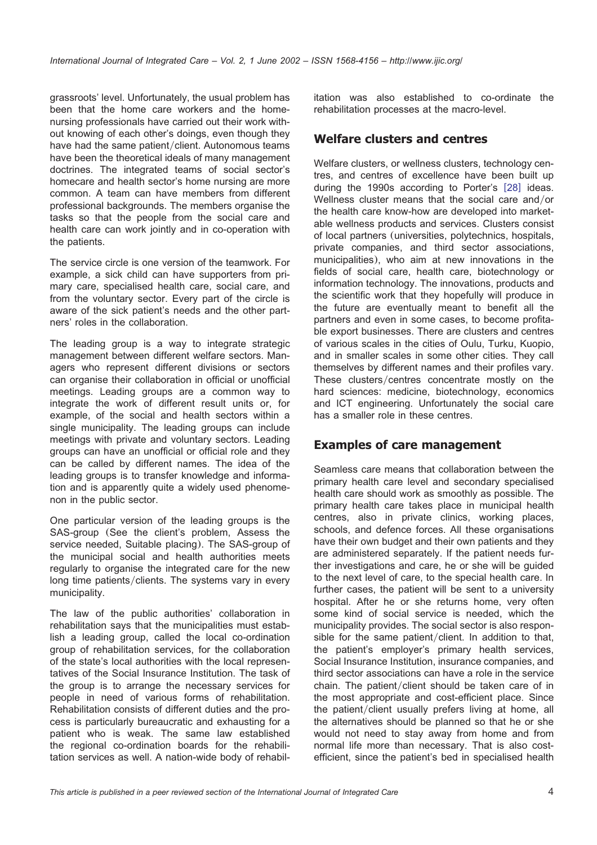grassroots' level. Unfortunately, the usual problem has been that the home care workers and the homenursing professionals have carried out their work without knowing of each other's doings, even though they have had the same patient/client. Autonomous teams have been the theoretical ideals of many management doctrines. The integrated teams of social sector's homecare and health sector's home nursing are more common. A team can have members from different professional backgrounds. The members organise the tasks so that the people from the social care and health care can work jointly and in co-operation with the patients.

The service circle is one version of the teamwork. For example, a sick child can have supporters from primary care, specialised health care, social care, and from the voluntary sector. Every part of the circle is aware of the sick patient's needs and the other partners' roles in the collaboration.

The leading group is a way to integrate strategic management between different welfare sectors. Managers who represent different divisions or sectors can organise their collaboration in official or unofficial meetings. Leading groups are a common way to integrate the work of different result units or, for example, of the social and health sectors within a single municipality. The leading groups can include meetings with private and voluntary sectors. Leading groups can have an unofficial or official role and they can be called by different names. The idea of the leading groups is to transfer knowledge and information and is apparently quite a widely used phenomenon in the public sector.

One particular version of the leading groups is the SAS-group (See the client's problem, Assess the service needed, Suitable placing). The SAS-group of the municipal social and health authorities meets regularly to organise the integrated care for the new long time patients/clients. The systems vary in every municipality.

The law of the public authorities' collaboration in rehabilitation says that the municipalities must establish a leading group, called the local co-ordination group of rehabilitation services, for the collaboration of the state's local authorities with the local representatives of the Social Insurance Institution. The task of the group is to arrange the necessary services for people in need of various forms of rehabilitation. Rehabilitation consists of different duties and the process is particularly bureaucratic and exhausting for a patient who is weak. The same law established the regional co-ordination boards for the rehabilitation services as well. A nation-wide body of rehabilitation was also established to co-ordinate the rehabilitation processes at the macro-level.

#### **Welfare clusters and centres**

Welfare clusters, or wellness clusters, technology centres, and centres of excellence have been built up during the 1990s according to Porter's  $[28]$  $[28]$  $[28]$  ideas. Wellness cluster means that the social care and/or the health care know-how are developed into marketable wellness products and services. Clusters consist of local partners (universities, polytechnics, hospitals, private companies, and third sector associations, municipalities), who aim at new innovations in the fields of social care, health care, biotechnology or information technology. The innovations, products and the scientific work that they hopefully will produce in the future are eventually meant to benefit all the partners and even in some cases, to become profitable export businesses. There are clusters and centres of various scales in the cities of Oulu, Turku, Kuopio, and in smaller scales in some other cities. They call themselves by different names and their profiles vary. These clusters/centres concentrate mostly on the hard sciences: medicine, biotechnology, economics and ICT engineering. Unfortunately the social care has a smaller role in these centres.

#### **Examples of care management**

Seamless care means that collaboration between the primary health care level and secondary specialised health care should work as smoothly as possible. The primary health care takes place in municipal health centres, also in private clinics, working places, schools, and defence forces. All these organisations have their own budget and their own patients and they are administered separately. If the patient needs further investigations and care, he or she will be guided to the next level of care, to the special health care. In further cases, the patient will be sent to a university hospital. After he or she returns home, very often some kind of social service is needed, which the municipality provides. The social sector is also responsible for the same patient/client. In addition to that, the patient's employer's primary health services, Social Insurance Institution, insurance companies, and third sector associations can have a role in the service chain. The patient/client should be taken care of in the most appropriate and cost-efficient place. Since the patient/client usually prefers living at home, all the alternatives should be planned so that he or she would not need to stay away from home and from normal life more than necessary. That is also costefficient, since the patient's bed in specialised health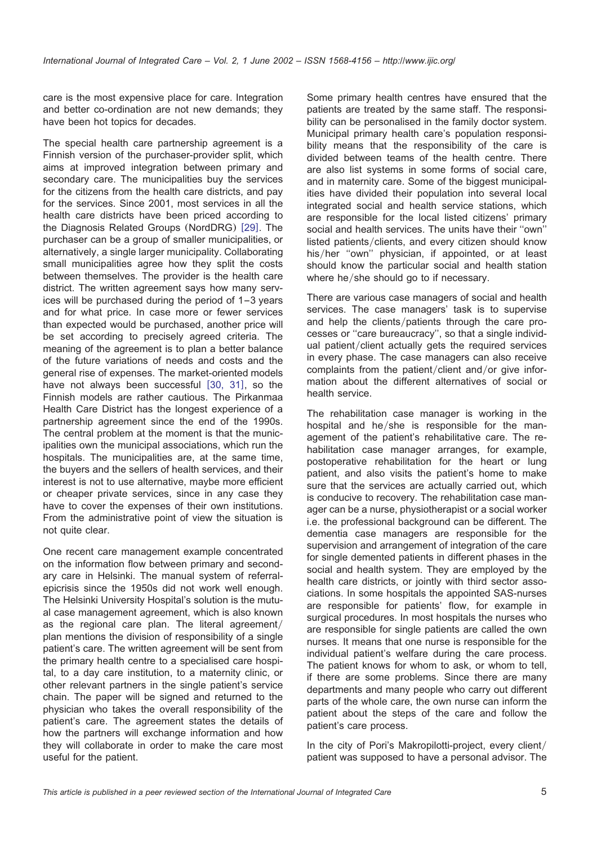care is the most expensive place for care. Integration and better co-ordination are not new demands; they have been hot topics for decades.

The special health care partnership agreement is a Finnish version of the purchaser-provider split, which aims at improved integration between primary and secondary care. The municipalities buy the services for the citizens from the health care districts, and pay for the services. Since 2001, most services in all the health care districts have been priced according to the Diagnosis Related Groups (NordDRG) [[29](#page-8-0)]. The purchaser can be a group of smaller municipalities, or alternatively, a single larger municipality. Collaborating small municipalities agree how they split the costs between themselves. The provider is the health care district. The written agreement says how many services will be purchased during the period of 1–3 years and for what price. In case more or fewer services than expected would be purchased, another price will be set according to precisely agreed criteria. The meaning of the agreement is to plan a better balance of the future variations of needs and costs and the general rise of expenses. The market-oriented models have not always been successful  $[30, 31]$  $[30, 31]$  $[30, 31]$ , so the Finnish models are rather cautious. The Pirkanmaa Health Care District has the longest experience of a partnership agreement since the end of the 1990s. The central problem at the moment is that the municipalities own the municipal associations, which run the hospitals. The municipalities are, at the same time, the buyers and the sellers of health services, and their interest is not to use alternative, maybe more efficient or cheaper private services, since in any case they have to cover the expenses of their own institutions. From the administrative point of view the situation is not quite clear.

One recent care management example concentrated on the information flow between primary and secondary care in Helsinki. The manual system of referralepicrisis since the 1950s did not work well enough. The Helsinki University Hospital's solution is the mutual case management agreement, which is also known as the regional care plan. The literal agreement/ plan mentions the division of responsibility of a single patient's care. The written agreement will be sent from the primary health centre to a specialised care hospital, to a day care institution, to a maternity clinic, or other relevant partners in the single patient's service chain. The paper will be signed and returned to the physician who takes the overall responsibility of the patient's care. The agreement states the details of how the partners will exchange information and how they will collaborate in order to make the care most useful for the patient.

Some primary health centres have ensured that the patients are treated by the same staff. The responsibility can be personalised in the family doctor system. Municipal primary health care's population responsibility means that the responsibility of the care is divided between teams of the health centre. There are also list systems in some forms of social care, and in maternity care. Some of the biggest municipalities have divided their population into several local integrated social and health service stations, which are responsible for the local listed citizens' primary social and health services. The units have their ''own'' listed patients/clients, and every citizen should know his/her "own" physician, if appointed, or at least should know the particular social and health station where  $he/she$  should go to if necessary.

There are various case managers of social and health services. The case managers' task is to supervise and help the clients/patients through the care processes or ''care bureaucracy'', so that a single individual patient/client actually gets the required services in every phase. The case managers can also receive complaints from the patient/client and/or give information about the different alternatives of social or health service.

The rehabilitation case manager is working in the hospital and  $he/she$  is responsible for the management of the patient's rehabilitative care. The rehabilitation case manager arranges, for example, postoperative rehabilitation for the heart or lung patient, and also visits the patient's home to make sure that the services are actually carried out, which is conducive to recovery. The rehabilitation case manager can be a nurse, physiotherapist or a social worker i.e. the professional background can be different. The dementia case managers are responsible for the supervision and arrangement of integration of the care for single demented patients in different phases in the social and health system. They are employed by the health care districts, or jointly with third sector associations. In some hospitals the appointed SAS-nurses are responsible for patients' flow, for example in surgical procedures. In most hospitals the nurses who are responsible for single patients are called the own nurses. It means that one nurse is responsible for the individual patient's welfare during the care process. The patient knows for whom to ask, or whom to tell, if there are some problems. Since there are many departments and many people who carry out different parts of the whole care, the own nurse can inform the patient about the steps of the care and follow the patient's care process.

In the city of Pori's Makropilotti-project, every client/ patient was supposed to have a personal advisor. The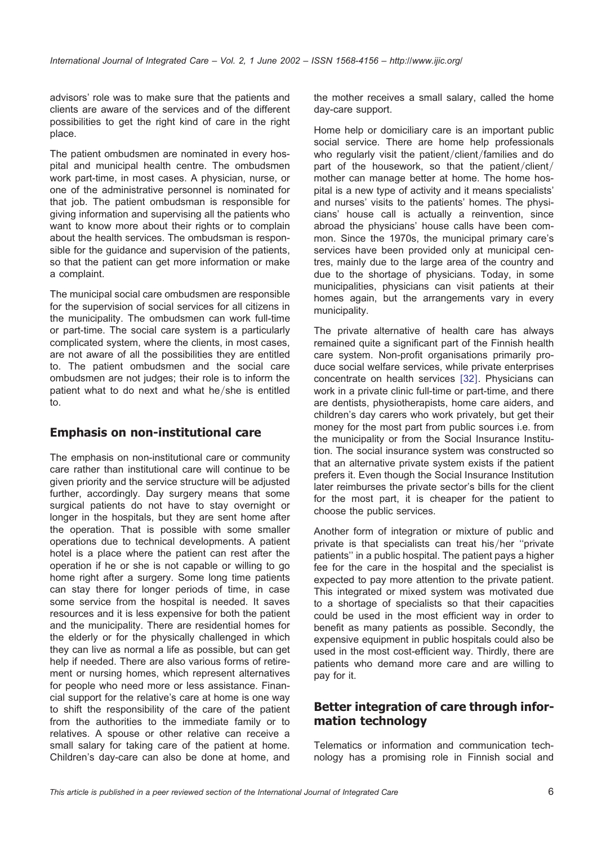advisors' role was to make sure that the patients and clients are aware of the services and of the different possibilities to get the right kind of care in the right place.

The patient ombudsmen are nominated in every hospital and municipal health centre. The ombudsmen work part-time, in most cases. A physician, nurse, or one of the administrative personnel is nominated for that job. The patient ombudsman is responsible for giving information and supervising all the patients who want to know more about their rights or to complain about the health services. The ombudsman is responsible for the guidance and supervision of the patients, so that the patient can get more information or make a complaint.

The municipal social care ombudsmen are responsible for the supervision of social services for all citizens in the municipality. The ombudsmen can work full-time or part-time. The social care system is a particularly complicated system, where the clients, in most cases, are not aware of all the possibilities they are entitled to. The patient ombudsmen and the social care ombudsmen are not judges; their role is to inform the patient what to do next and what he/she is entitled to.

#### **Emphasis on non-institutional care**

The emphasis on non-institutional care or community care rather than institutional care will continue to be given priority and the service structure will be adjusted further, accordingly. Day surgery means that some surgical patients do not have to stay overnight or longer in the hospitals, but they are sent home after the operation. That is possible with some smaller operations due to technical developments. A patient hotel is a place where the patient can rest after the operation if he or she is not capable or willing to go home right after a surgery. Some long time patients can stay there for longer periods of time, in case some service from the hospital is needed. It saves resources and it is less expensive for both the patient and the municipality. There are residential homes for the elderly or for the physically challenged in which they can live as normal a life as possible, but can get help if needed. There are also various forms of retirement or nursing homes, which represent alternatives for people who need more or less assistance. Financial support for the relative's care at home is one way to shift the responsibility of the care of the patient from the authorities to the immediate family or to relatives. A spouse or other relative can receive a small salary for taking care of the patient at home. Children's day-care can also be done at home, and

the mother receives a small salary, called the home day-care support.

Home help or domiciliary care is an important public social service. There are home help professionals who regularly visit the patient/client/families and do part of the housework, so that the patient/client/ mother can manage better at home. The home hospital is a new type of activity and it means specialists' and nurses' visits to the patients' homes. The physicians' house call is actually a reinvention, since abroad the physicians' house calls have been common. Since the 1970s, the municipal primary care's services have been provided only at municipal centres, mainly due to the large area of the country and due to the shortage of physicians. Today, in some municipalities, physicians can visit patients at their homes again, but the arrangements vary in every municipality.

The private alternative of health care has always remained quite a significant part of the Finnish health care system. Non-profit organisations primarily produce social welfare services, while private enterprises concentrate on health services [[32](#page-8-0)]. Physicians can work in a private clinic full-time or part-time, and there are dentists, physiotherapists, home care aiders, and children's day carers who work privately, but get their money for the most part from public sources i.e. from the municipality or from the Social Insurance Institution. The social insurance system was constructed so that an alternative private system exists if the patient prefers it. Even though the Social Insurance Institution later reimburses the private sector's bills for the client for the most part, it is cheaper for the patient to choose the public services.

Another form of integration or mixture of public and private is that specialists can treat his/her "private patients'' in a public hospital. The patient pays a higher fee for the care in the hospital and the specialist is expected to pay more attention to the private patient. This integrated or mixed system was motivated due to a shortage of specialists so that their capacities could be used in the most efficient way in order to benefit as many patients as possible. Secondly, the expensive equipment in public hospitals could also be used in the most cost-efficient way. Thirdly, there are patients who demand more care and are willing to pay for it.

### **Better integration of care through information technology**

Telematics or information and communication technology has a promising role in Finnish social and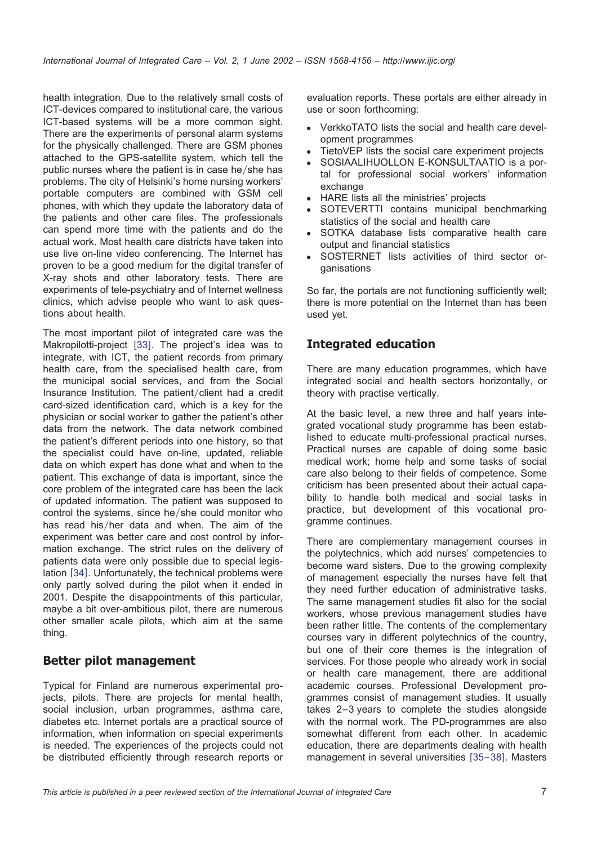health integration. Due to the relatively small costs of ICT-devices compared to institutional care, the various ICT-based systems will be a more common sight. There are the experiments of personal alarm systems for the physically challenged. There are GSM phones attached to the GPS-satellite system, which tell the public nurses where the patient is in case he/she has problems. The city of Helsinki's home nursing workers' portable computers are combined with GSM cell phones, with which they update the laboratory data of the patients and other care files. The professionals can spend more time with the patients and do the actual work. Most health care districts have taken into use live on-line video conferencing. The Internet has proven to be a good medium for the digital transfer of X-ray shots and other laboratory tests. There are experiments of tele-psychiatry and of Internet wellness clinics, which advise people who want to ask questions about health.

The most important pilot of integrated care was the Makropilotti-project [[33](#page-8-0)]. The project's idea was to integrate, with ICT, the patient records from primary health care, from the specialised health care, from the municipal social services, and from the Social Insurance Institution. The patient/client had a credit card-sized identification card, which is a key for the physician or social worker to gather the patient's other data from the network. The data network combined the patient's different periods into one history, so that the specialist could have on-line, updated, reliable data on which expert has done what and when to the patient. This exchange of data is important, since the core problem of the integrated care has been the lack of updated information. The patient was supposed to control the systems, since he/she could monitor who has read his/her data and when. The aim of the experiment was better care and cost control by information exchange. The strict rules on the delivery of patients data were only possible due to special legis-lation [[34](#page-8-0)]. Unfortunately, the technical problems were only partly solved during the pilot when it ended in 2001. Despite the disappointments of this particular, maybe a bit over-ambitious pilot, there are numerous other smaller scale pilots, which aim at the same thing.

#### **Better pilot management**

Typical for Finland are numerous experimental projects, pilots. There are projects for mental health, social inclusion, urban programmes, asthma care, diabetes etc. Internet portals are a practical source of information, when information on special experiments is needed. The experiences of the projects could not be distributed efficiently through research reports or

evaluation reports. These portals are either already in use or soon forthcoming:

- VerkkoTATO lists the social and health care development programmes
- TietoVEP lists the social care experiment projects
- SOSIAALIHUOLLON E-KONSULTAATIO is a portal for professional social workers' information exchange
- HARE lists all the ministries' projects
- SOTEVERTTI contains municipal benchmarking statistics of the social and health care
- SOTKA database lists comparative health care output and financial statistics
- SOSTERNET lists activities of third sector organisations

So far, the portals are not functioning sufficiently well; there is more potential on the Internet than has been used yet.

#### **Integrated education**

There are many education programmes, which have integrated social and health sectors horizontally, or theory with practise vertically.

At the basic level, a new three and half years integrated vocational study programme has been established to educate multi-professional practical nurses. Practical nurses are capable of doing some basic medical work; home help and some tasks of social care also belong to their fields of competence. Some criticism has been presented about their actual capability to handle both medical and social tasks in practice, but development of this vocational programme continues.

There are complementary management courses in the polytechnics, which add nurses' competencies to become ward sisters. Due to the growing complexity of management especially the nurses have felt that they need further education of administrative tasks. The same management studies fit also for the social workers, whose previous management studies have been rather little. The contents of the complementary courses vary in different polytechnics of the country, but one of their core themes is the integration of services. For those people who already work in social or health care management, there are additional academic courses. Professional Development programmes consist of management studies. It usually takes 2–3 years to complete the studies alongside with the normal work. The PD-programmes are also somewhat different from each other. In academic education, there are departments dealing with health management in several universities [[35](#page-8-0)–38]. Masters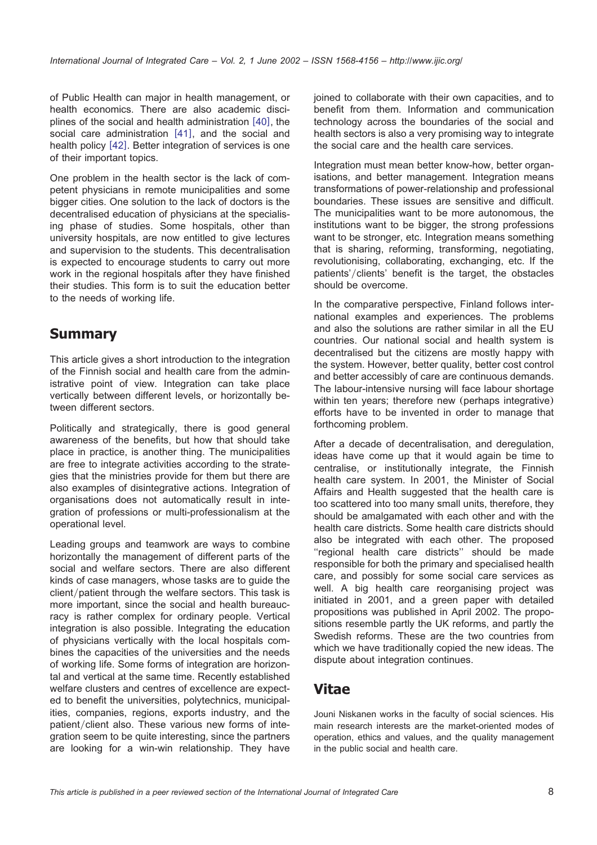of Public Health can major in health management, or health economics. There are also academic disciplines of the social and health administration  $[40]$  $[40]$  $[40]$ , the social care administration  $[41]$  $[41]$  $[41]$ , and the social and health policy  $[42]$  $[42]$  $[42]$ . Better integration of services is one of their important topics.

One problem in the health sector is the lack of competent physicians in remote municipalities and some bigger cities. One solution to the lack of doctors is the decentralised education of physicians at the specialising phase of studies. Some hospitals, other than university hospitals, are now entitled to give lectures and supervision to the students. This decentralisation is expected to encourage students to carry out more work in the regional hospitals after they have finished their studies. This form is to suit the education better to the needs of working life.

## **Summary**

This article gives a short introduction to the integration of the Finnish social and health care from the administrative point of view. Integration can take place vertically between different levels, or horizontally between different sectors.

Politically and strategically, there is good general awareness of the benefits, but how that should take place in practice, is another thing. The municipalities are free to integrate activities according to the strategies that the ministries provide for them but there are also examples of disintegrative actions. Integration of organisations does not automatically result in integration of professions or multi-professionalism at the operational level.

Leading groups and teamwork are ways to combine horizontally the management of different parts of the social and welfare sectors. There are also different kinds of case managers, whose tasks are to guide the client/patient through the welfare sectors. This task is more important, since the social and health bureaucracy is rather complex for ordinary people. Vertical integration is also possible. Integrating the education of physicians vertically with the local hospitals combines the capacities of the universities and the needs of working life. Some forms of integration are horizontal and vertical at the same time. Recently established welfare clusters and centres of excellence are expected to benefit the universities, polytechnics, municipalities, companies, regions, exports industry, and the patient/client also. These various new forms of integration seem to be quite interesting, since the partners are looking for a win-win relationship. They have

joined to collaborate with their own capacities, and to benefit from them. Information and communication technology across the boundaries of the social and health sectors is also a very promising way to integrate the social care and the health care services.

Integration must mean better know-how, better organisations, and better management. Integration means transformations of power-relationship and professional boundaries. These issues are sensitive and difficult. The municipalities want to be more autonomous, the institutions want to be bigger, the strong professions want to be stronger, etc. Integration means something that is sharing, reforming, transforming, negotiating, revolutionising, collaborating, exchanging, etc. If the patients'/clients' benefit is the target, the obstacles should be overcome.

In the comparative perspective, Finland follows international examples and experiences. The problems and also the solutions are rather similar in all the EU countries. Our national social and health system is decentralised but the citizens are mostly happy with the system. However, better quality, better cost control and better accessibly of care are continuous demands. The labour-intensive nursing will face labour shortage within ten years; therefore new (perhaps integrative) efforts have to be invented in order to manage that forthcoming problem.

After a decade of decentralisation, and deregulation, ideas have come up that it would again be time to centralise, or institutionally integrate, the Finnish health care system. In 2001, the Minister of Social Affairs and Health suggested that the health care is too scattered into too many small units, therefore, they should be amalgamated with each other and with the health care districts. Some health care districts should also be integrated with each other. The proposed ''regional health care districts'' should be made responsible for both the primary and specialised health care, and possibly for some social care services as well. A big health care reorganising project was initiated in 2001, and a green paper with detailed propositions was published in April 2002. The propositions resemble partly the UK reforms, and partly the Swedish reforms. These are the two countries from which we have traditionally copied the new ideas. The dispute about integration continues.

# **Vitae**

Jouni Niskanen works in the faculty of social sciences. His main research interests are the market-oriented modes of operation, ethics and values, and the quality management in the public social and health care.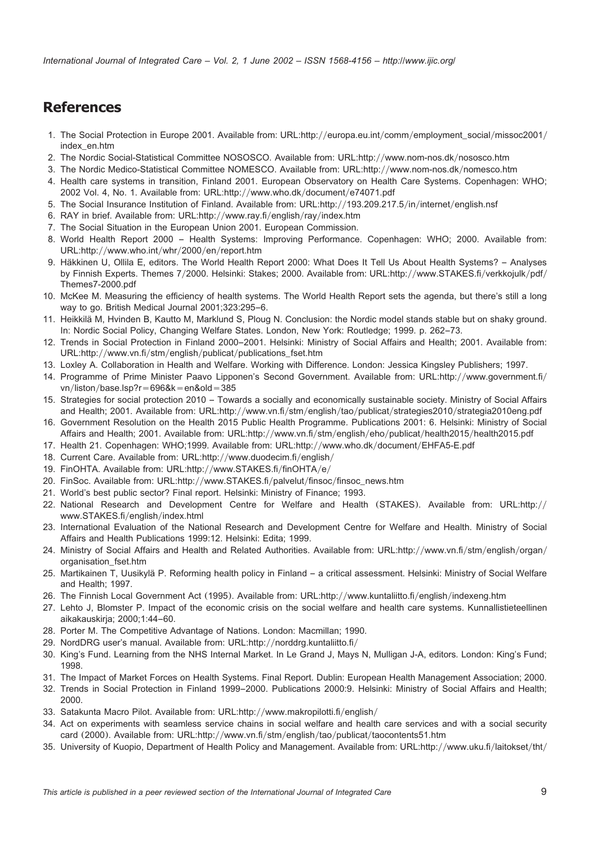## <span id="page-8-0"></span>**References**

- 1. The Social Protection in Europe 2001. Available from: URL:http://europa.eu.int/comm/employment\_social/missoc2001/ index\_en.htm
- 2. The Nordic Social-Statistical Committee NOSOSCO. Available from: URL:http://www.nom-nos.dk/nososco.htm
- 3. The Nordic Medico-Statistical Committee NOMESCO. Available from: URL:http://www.nom-nos.dk/nomesco.htm
- 4. Health care systems in transition, Finland 2001. European Observatory on Health Care Systems. Copenhagen: WHO; 2002 Vol. 4, No. 1. Available from: URL:http://www.who.dk/document/e74071.pdf
- 5. The Social Insurance Institution of Finland. Available from: URL:http://193.209.217.5/in/internet/english.nsf
- 6. RAY in brief. Available from: URL:http://www.ray.fi/english/ray/index.htm
- 7. The Social Situation in the European Union 2001. European Commission.
- 8. World Health Report 2000 Health Systems: Improving Performance. Copenhagen: WHO; 2000. Available from: URL:http://www.who.int/whr/2000/en/report.htm
- 9. Häkkinen U, Ollila E, editors. The World Health Report 2000: What Does It Tell Us About Health Systems? Analyses by Finnish Experts. Themes 7/2000. Helsinki: Stakes; 2000. Available from: URL:http://www.STAKES.fi/verkkojulk/pdf/ Themes7-2000.pdf
- 10. McKee M. Measuring the efficiency of health systems. The World Health Report sets the agenda, but there's still a long way to go. British Medical Journal 2001;323:295–6.
- 11. Heikkilä M, Hvinden B, Kautto M, Marklund S, Ploug N. Conclusion: the Nordic model stands stable but on shaky ground. In: Nordic Social Policy, Changing Welfare States. London, New York: Routledge; 1999. p. 262–73.
- 12. Trends in Social Protection in Finland 2000–2001. Helsinki: Ministry of Social Affairs and Health; 2001. Available from: URL:http://www.vn.fi/stm/english/publicat/publications\_fset.htm
- 13. Loxley A. Collaboration in Health and Welfare. Working with Difference. London: Jessica Kingsley Publishers; 1997.
- 14. Programme of Prime Minister Paavo Lipponen's Second Government. Available from: URL:http://www.government.fi/ vn/liston/base.lsp?r=696&k=en&old=385
- 15. Strategies for social protection 2010 Towards a socially and economically sustainable society. Ministry of Social Affairs and Health; 2001. Available from: URL:http://www.vn.fi/stm/english/tao/publicat/strategies2010/strategia2010eng.pdf
- 16. Government Resolution on the Health 2015 Public Health Programme. Publications 2001: 6. Helsinki: Ministry of Social Affairs and Health; 2001. Available from: URL:http://www.vn.fi/stm/english/eho/publicat/health2015/health2015.pdf
- 17. Health 21. Copenhagen: WHO;1999. Available from: URL:http://www.who.dk/document/EHFA5-E.pdf
- 18. Current Care. Available from: URL:http://www.duodecim.fi/english/
- 19. FinOHTA. Available from: URL:http://www.STAKES.fi/finOHTA/e/
- 20. FinSoc. Available from: URL:http://www.STAKES.fi/palvelut/finsoc/finsoc\_news.htm
- 21. World's best public sector? Final report. Helsinki: Ministry of Finance; 1993.
- 22. National Research and Development Centre for Welfare and Health (STAKES). Available from: URL:http:// www.STAKES.fi/english/index.html
- 23. International Evaluation of the National Research and Development Centre for Welfare and Health. Ministry of Social Affairs and Health Publications 1999:12. Helsinki: Edita; 1999.
- 24. Ministry of Social Affairs and Health and Related Authorities. Available from: URL:http://www.vn.fi/stm/english/organ/ organisation\_fset.htm
- 25. Martikainen T, Uusikylä P. Reforming health policy in Finland a critical assessment. Helsinki: Ministry of Social Welfare and Health; 1997.
- 26. The Finnish Local Government Act (1995). Available from: URL:http://www.kuntaliitto.fi/english/indexeng.htm
- 27. Lehto J, Blomster P. Impact of the economic crisis on the social welfare and health care systems. Kunnallistieteellinen aikakauskirja; 2000;1:44–60.
- 28. Porter M. The Competitive Advantage of Nations. London: Macmillan; 1990.
- 29. NordDRG user's manual. Available from: URL:http://norddrg.kuntaliitto.fi/
- 30. King's Fund. Learning from the NHS Internal Market. In Le Grand J, Mays N, Mulligan J-A, editors*.* London: King's Fund; 1998.
- 31. The Impact of Market Forces on Health Systems. Final Report. Dublin: European Health Management Association; 2000.
- 32. Trends in Social Protection in Finland 1999–2000. Publications 2000:9. Helsinki: Ministry of Social Affairs and Health; 2000.
- 33. Satakunta Macro Pilot. Available from: URL:http://www.makropilotti.fi/english/
- 34. Act on experiments with seamless service chains in social welfare and health care services and with a social security card (2000). Available from: URL:http://www.vn.fi/stm/english/tao/publicat/taocontents51.htm
- 35. University of Kuopio, Department of Health Policy and Management. Available from: URL:http://www.uku.fi/laitokset/tht/